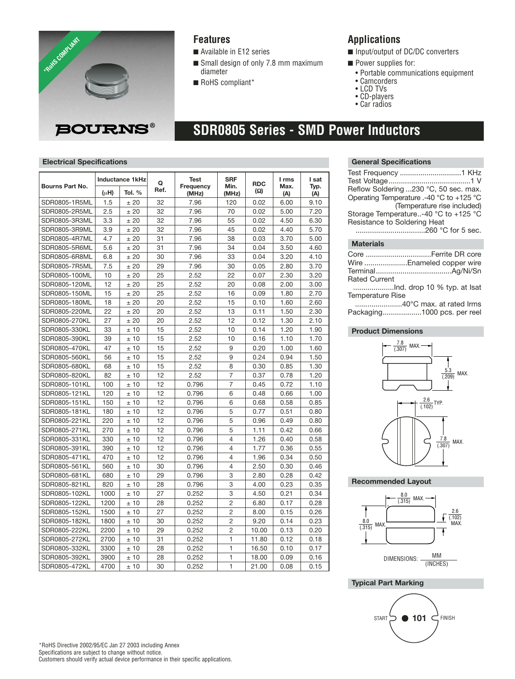

### **Features**

- Available in E12 series
- Small design of only 7.8 mm maximum diameter
- RoHS compliant\*

## **Applications**

- Input/output of DC/DC converters
- Power supplies for:
	- Portable communications equipment
	- Camcorders
- LCD TVs
- CD-players • Car radios

# **SDR0805 Series - SMD Power Inductors**

#### **Electrical Specifications General Specifications**

| Bourns Part No. | <b>Inductance 1kHz</b> |        | O    | Test               | <b>SRF</b>     | <b>RDC</b> | I rms       | I sat       |
|-----------------|------------------------|--------|------|--------------------|----------------|------------|-------------|-------------|
|                 | $(\mu H)$              | Tol. % | Ref. | Frequency<br>(MHz) | Min.<br>(MHz)  | (Ω)        | Max.<br>(A) | Typ.<br>(A) |
| SDR0805-1R5ML   | 1.5                    | ±20    | 32   | 7.96               | 120            | 0.02       | 6.00        | 9.10        |
| SDR0805-2R5ML   | 2.5                    | ±20    | 32   | 7.96               | 70             | 0.02       | 5.00        | 7.20        |
| SDR0805-3R3ML   | 3.3                    | ±20    | 32   | 7.96               | 55             | 0.02       | 4.50        | 6.30        |
| SDR0805-3R9ML   | 3.9                    | ±20    | 32   | 7.96               | 45             | 0.02       | 4.40        | 5.70        |
| SDR0805-4R7ML   | 4.7                    | ±20    | 31   | 7.96               | 38             | 0.03       | 3.70        | 5.00        |
| SDR0805-5R6ML   | 5.6                    | ±20    | 31   | 7.96               | 34             | 0.04       | 3.50        | 4.60        |
| SDR0805-6R8ML   | 6.8                    | ±20    | 30   | 7.96               | 33             | 0.04       | 3.20        | 4.10        |
| SDR0805-7R5ML   | 7.5                    | ±20    | 29   | 7.96               | 30             | 0.05       | 2.80        | 3.70        |
| SDR0805-100ML   | 10                     | ±20    | 25   | 2.52               | 22             | 0.07       | 2.30        | 3.20        |
| SDR0805-120ML   | 12                     | ±20    | 25   | 2.52               | 20             | 0.08       | 2.00        | 3.00        |
| SDR0805-150ML   | 15                     | ±20    | 25   | 2.52               | 16             | 0.09       | 1.80        | 2.70        |
| SDR0805-180ML   | 18                     | ±20    | 20   | 2.52               | 15             | 0.10       | 1.60        | 2.60        |
| SDR0805-220ML   | 22                     | ±20    | 20   | 2.52               | 13             | 0.11       | 1.50        | 2.30        |
| SDR0805-270KL   | 27                     | ±20    | 20   | 2.52               | 12             | 0.12       | 1.30        | 2.10        |
| SDR0805-330KL   | 33                     | ±10    | 15   | 2.52               | 10             | 0.14       | 1.20        | 1.90        |
| SDR0805-390KL   | 39                     | ±10    | 15   | 2.52               | 10             | 0.16       | 1.10        | 1.70        |
| SDR0805-470KL   | 47                     | ±10    | 15   | 2.52               | 9              | 0.20       | 1.00        | 1.60        |
| SDR0805-560KL   | 56                     | ±10    | 15   | 2.52               | 9              | 0.24       | 0.94        | 1.50        |
| SDR0805-680KL   | 68                     | ±10    | 15   | 2.52               | 8              | 0.30       | 0.85        | 1.30        |
| SDR0805-820KL   | 82                     | ±10    | 12   | 2.52               | 7              | 0.37       | 0.78        | 1.20        |
| SDR0805-101KL   | 100                    | ±10    | 12   | 0.796              | $\overline{7}$ | 0.45       | 0.72        | 1.10        |
| SDR0805-121KL   | 120                    | ±10    | 12   | 0.796              | 6              | 0.48       | 0.66        | 1.00        |
| SDR0805-151KL   | 150                    | ±10    | 12   | 0.796              | 6              | 0.68       | 0.58        | 0.85        |
| SDR0805-181KL   | 180                    | ±10    | 12   | 0.796              | 5              | 0.77       | 0.51        | 0.80        |
| SDR0805-221KL   | 220                    | ±10    | 12   | 0.796              | 5              | 0.96       | 0.49        | 0.80        |
| SDR0805-271KL   | 270                    | ±10    | 12   | 0.796              | 5              | 1.11       | 0.42        | 0.66        |
| SDR0805-331KL   | 330                    | ±10    | 12   | 0.796              | 4              | 1.26       | 0.40        | 0.58        |
| SDR0805-391KL   | 390                    | ±10    | 12   | 0.796              | $\overline{4}$ | 1.77       | 0.36        | 0.55        |
| SDR0805-471KL   | 470                    | ±10    | 12   | 0.796              | 4              | 1.96       | 0.34        | 0.50        |
| SDR0805-561KL   | 560                    | ±10    | 30   | 0.796              | $\overline{4}$ | 2.50       | 0.30        | 0.46        |
| SDR0805-681KL   | 680                    | ±10    | 29   | 0.796              | 3              | 2.80       | 0.28        | 0.42        |
| SDR0805-821KL   | 820                    | ±10    | 28   | 0.796              | 3              | 4.00       | 0.23        | 0.35        |
| SDR0805-102KL   | 1000                   | ±10    | 27   | 0.252              | 3              | 4.50       | 0.21        | 0.34        |
| SDR0805-122KL   | 1200                   | ±10    | 28   | 0.252              | $\overline{2}$ | 6.80       | 0.17        | 0.28        |
| SDR0805-152KL   | 1500                   | ±10    | 27   | 0.252              | $\overline{2}$ | 8.00       | 0.15        | 0.26        |
| SDR0805-182KL   | 1800                   | ±10    | 30   | 0.252              | $\overline{2}$ | 9.20       | 0.14        | 0.23        |
| SDR0805-222KL   | 2200                   | ±10    | 29   | 0.252              | $\overline{2}$ | 10.00      | 0.13        | 0.20        |
| SDR0805-272KL   | 2700                   | ±10    | 31   | 0.252              | 1              | 11.80      | 0.12        | 0.18        |
| SDR0805-332KL   | 3300                   | ±10    | 28   | 0.252              | $\mathbf{1}$   | 16.50      | 0.10        | 0.17        |
| SDR0805-392KL   | 3900                   | ±10    | 28   | 0.252              | 1              | 18.00      | 0.09        | 0.16        |
| SDR0805-472KL   | 4700                   | ±10    | 30   | 0.252              | 1              | 21.00      | 0.08        | 0.15        |

#### **Materials**

|                      | Core Ferrite DR core      |
|----------------------|---------------------------|
|                      | Wire Enameled copper wire |
|                      |                           |
| <b>Rated Current</b> |                           |
|                      |                           |

Temperature Rise

.......................40°C max. at rated Irms Packaging...................1000 pcs. per reel

#### **Product Dimensions**



**Recommended Layout**



#### **Typical Part Marking**